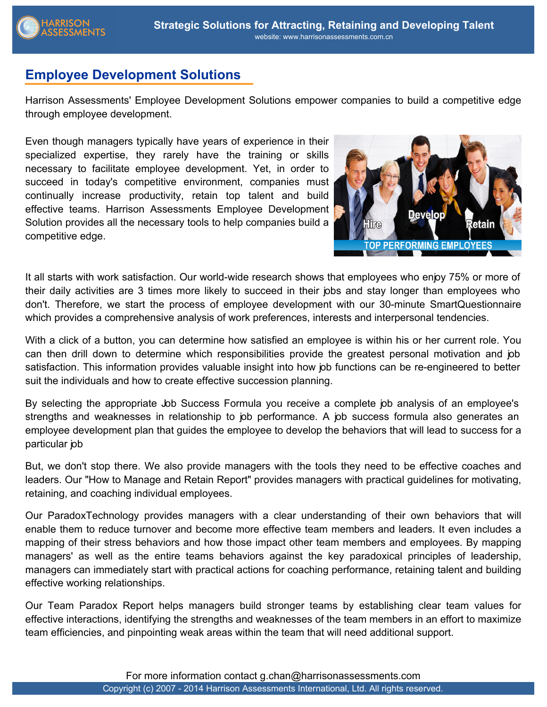

## **Employee Development Solutions**

Harrison Assessments' Employee Development Solutions empower companies to build a competitive edge through employee development.

Even though managers typically have years of experience in their specialized expertise, they rarely have the training or skills necessary to facilitate employee development. Yet, in order to succeed in today's competitive environment, companies must continually increase productivity, retain top talent and build effective teams. Harrison Assessments Employee Development Solution provides all the necessary tools to help companies build a competitive edge.



It all starts with work satisfaction. Our world-wide research shows that employees who enjoy 75% or more of their daily activities are 3 times more likely to succeed in their jobs and stay longer than employees who don't. Therefore, we start the process of employee development with our 30-minute SmartQuestionnaire which provides a comprehensive analysis of work preferences, interests and interpersonal tendencies.

With a click of a button, you can determine how satisfied an employee is within his or her current role. You can then drill down to determine which responsibilities provide the greatest personal motivation and job satisfaction. This information provides valuable insight into how job functions can be re-engineered to better suit the individuals and how to create effective succession planning.

By selecting the appropriate Job Success Formula you receive a complete job analysis of an employee's strengths and weaknesses in relationship to job performance. A job success formula also generates an employee development plan that guides the employee to develop the behaviors that will lead to success for a particular job

But, we don't stop there. We also provide managers with the tools they need to be effective coaches and leaders. Our "How to Manage and Retain Report" provides managers with practical guidelines for motivating, retaining, and coaching individual employees.

Our ParadoxTechnology provides managers with a clear understanding of their own behaviors that will enable them to reduce turnover and become more effective team members and leaders. It even includes a mapping of their stress behaviors and how those impact other team members and employees. By mapping managers' as well as the entire teams behaviors against the key paradoxical principles of leadership, managers can immediately start with practical actions for coaching performance, retaining talent and building effective working relationships.

Our Team Paradox Report helps managers build stronger teams by establishing clear team values for effective interactions, identifying the strengths and weaknesses of the team members in an effort to maximize team efficiencies, and pinpointing weak areas within the team that will need additional support.